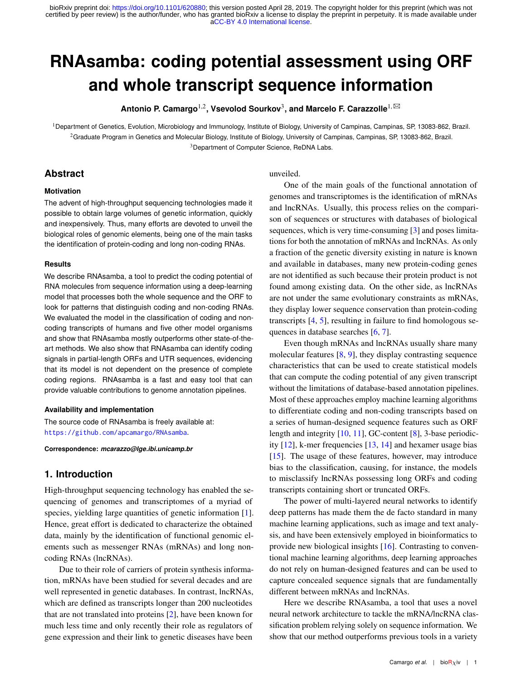# **RNAsamba: coding potential assessment using ORF and whole transcript sequence information**

 $\blacksquare$  **Antonio P. Camargo<sup>1,2</sup>, Vsevolod Sourkov<sup>3</sup>, and Marcelo F. Carazzolle<sup>1, ⊠</sup>** 

<sup>1</sup>Department of Genetics, Evolution, Microbiology and Immunology, Institute of Biology, University of Campinas, Campinas, SP, 13083-862, Brazil. <sup>2</sup>Graduate Program in Genetics and Molecular Biology, Institute of Biology, University of Campinas, Campinas, SP, 13083-862, Brazil. <sup>3</sup>Department of Computer Science, ReDNA Labs.

# **Abstract**

# **Motivation**

The advent of high-throughput sequencing technologies made it possible to obtain large volumes of genetic information, quickly and inexpensively. Thus, many efforts are devoted to unveil the biological roles of genomic elements, being one of the main tasks the identification of protein-coding and long non-coding RNAs.

# **Results**

We describe RNAsamba, a tool to predict the coding potential of RNA molecules from sequence information using a deep-learning model that processes both the whole sequence and the ORF to look for patterns that distinguish coding and non-coding RNAs. We evaluated the model in the classification of coding and noncoding transcripts of humans and five other model organisms and show that RNAsamba mostly outperforms other state-of-theart methods. We also show that RNAsamba can identify coding signals in partial-length ORFs and UTR sequences, evidencing that its model is not dependent on the presence of complete coding regions. RNAsamba is a fast and easy tool that can provide valuable contributions to genome annotation pipelines.

# **Availability and implementation**

The source code of RNAsamba is freely available at: <https://github.com/apcamargo/RNAsamba>.

**Correspondence:** *mcarazzo@lge.ibi.unicamp.br*

# **1. Introduction**

High-throughput sequencing technology has enabled the sequencing of genomes and transcriptomes of a myriad of species, yielding large quantities of genetic information [\[1\]](#page-7-0). Hence, great effort is dedicated to characterize the obtained data, mainly by the identification of functional genomic elements such as messenger RNAs (mRNAs) and long noncoding RNAs (lncRNAs).

Due to their role of carriers of protein synthesis information, mRNAs have been studied for several decades and are well represented in genetic databases. In contrast, lncRNAs, which are defined as transcripts longer than 200 nucleotides that are not translated into proteins [\[2\]](#page-7-0), have been known for much less time and only recently their role as regulators of gene expression and their link to genetic diseases have been

unveiled.

One of the main goals of the functional annotation of genomes and transcriptomes is the identification of mRNAs and lncRNAs. Usually, this process relies on the comparison of sequences or structures with databases of biological sequences, which is very time-consuming [\[3\]](#page-7-0) and poses limitations for both the annotation of mRNAs and lncRNAs. As only a fraction of the genetic diversity existing in nature is known and available in databases, many new protein-coding genes are not identified as such because their protein product is not found among existing data. On the other side, as lncRNAs are not under the same evolutionary constraints as mRNAs, they display lower sequence conservation than protein-coding transcripts [\[4,](#page-7-0) [5\]](#page-7-0), resulting in failure to find homologous sequences in database searches [\[6,](#page-7-0) [7\]](#page-7-0).

Even though mRNAs and lncRNAs usually share many molecular features [\[8,](#page-7-0) [9\]](#page-7-0), they display contrasting sequence characteristics that can be used to create statistical models that can compute the coding potential of any given transcript without the limitations of database-based annotation pipelines. Most of these approaches employ machine learning algorithms to differentiate coding and non-coding transcripts based on a series of human-designed sequence features such as ORF length and integrity [\[10,](#page-7-0) [11\]](#page-7-0), GC-content [\[8\]](#page-7-0), 3-base periodicity [\[12\]](#page-7-0), k-mer frequencies [\[13,](#page-7-0) [14\]](#page-7-0) and hexamer usage bias [\[15\]](#page-7-0). The usage of these features, however, may introduce bias to the classification, causing, for instance, the models to misclassify lncRNAs possessing long ORFs and coding transcripts containing short or truncated ORFs.

The power of multi-layered neural networks to identify deep patterns has made them the de facto standard in many machine learning applications, such as image and text analysis, and have been extensively employed in bioinformatics to provide new biological insights [\[16\]](#page-7-0). Contrasting to conventional machine learning algorithms, deep learning approaches do not rely on human-designed features and can be used to capture concealed sequence signals that are fundamentally different between mRNAs and lncRNAs.

Here we describe RNAsamba, a tool that uses a novel neural network architecture to tackle the mRNA/lncRNA classification problem relying solely on sequence information. We show that our method outperforms previous tools in a variety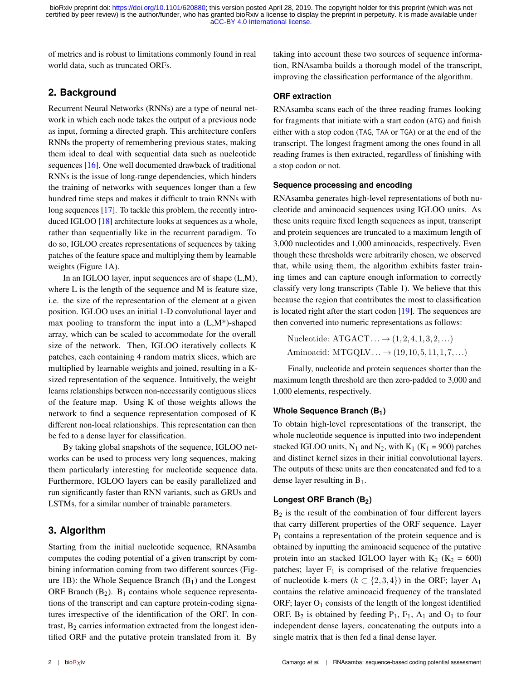of metrics and is robust to limitations commonly found in real world data, such as truncated ORFs.

# **2. Background**

Recurrent Neural Networks (RNNs) are a type of neural network in which each node takes the output of a previous node as input, forming a directed graph. This architecture confers RNNs the property of remembering previous states, making them ideal to deal with sequential data such as nucleotide sequences [\[16\]](#page-7-0). One well documented drawback of traditional RNNs is the issue of long-range dependencies, which hinders the training of networks with sequences longer than a few hundred time steps and makes it difficult to train RNNs with long sequences [\[17\]](#page-7-0). To tackle this problem, the recently introduced IGLOO [\[18\]](#page-7-0) architecture looks at sequences as a whole, rather than sequentially like in the recurrent paradigm. To do so, IGLOO creates representations of sequences by taking patches of the feature space and multiplying them by learnable weights (Figure 1A).

In an IGLOO layer, input sequences are of shape (L,M), where L is the length of the sequence and M is feature size, i.e. the size of the representation of the element at a given position. IGLOO uses an initial 1-D convolutional layer and max pooling to transform the input into a  $(L, M^*)$ -shaped array, which can be scaled to accommodate for the overall size of the network. Then, IGLOO iteratively collects K patches, each containing 4 random matrix slices, which are multiplied by learnable weights and joined, resulting in a Ksized representation of the sequence. Intuitively, the weight learns relationships between non-necessarily contiguous slices of the feature map. Using K of those weights allows the network to find a sequence representation composed of K different non-local relationships. This representation can then be fed to a dense layer for classification.

By taking global snapshots of the sequence, IGLOO networks can be used to process very long sequences, making them particularly interesting for nucleotide sequence data. Furthermore, IGLOO layers can be easily parallelized and run significantly faster than RNN variants, such as GRUs and LSTMs, for a similar number of trainable parameters.

# **3. Algorithm**

Starting from the initial nucleotide sequence, RNAsamba computes the coding potential of a given transcript by combining information coming from two different sources (Figure 1B): the Whole Sequence Branch  $(B_1)$  and the Longest ORF Branch  $(B_2)$ .  $B_1$  contains whole sequence representations of the transcript and can capture protein-coding signatures irrespective of the identification of the ORF. In contrast,  $B_2$  carries information extracted from the longest identified ORF and the putative protein translated from it. By

taking into account these two sources of sequence information, RNAsamba builds a thorough model of the transcript, improving the classification performance of the algorithm.

# **ORF extraction**

RNAsamba scans each of the three reading frames looking for fragments that initiate with a start codon (ATG) and finish either with a stop codon (TAG, TAA or TGA) or at the end of the transcript. The longest fragment among the ones found in all reading frames is then extracted, regardless of finishing with a stop codon or not.

#### **Sequence processing and encoding**

RNAsamba generates high-level representations of both nucleotide and aminoacid sequences using IGLOO units. As these units require fixed length sequences as input, transcript and protein sequences are truncated to a maximum length of 3,000 nucleotides and 1,000 aminoacids, respectively. Even though these thresholds were arbitrarily chosen, we observed that, while using them, the algorithm exhibits faster training times and can capture enough information to correctly classify very long transcripts (Table 1). We believe that this because the region that contributes the most to classification is located right after the start codon [\[19\]](#page-7-0). The sequences are then converted into numeric representations as follows:

Nucleotide: ATGACT*...* → (1*,*2*,*4*,*1*,*3*,*2*,...*) Aminoacid: MTGQLV*...* → (19*,*10*,*5*,*11*,*1*,*7*,...*)

Finally, nucleotide and protein sequences shorter than the maximum length threshold are then zero-padded to 3,000 and 1,000 elements, respectively.

# **Whole Sequence Branch (B1)**

To obtain high-level representations of the transcript, the whole nucleotide sequence is inputted into two independent stacked IGLOO units,  $N_1$  and  $N_2$ , with  $K_1$  ( $K_1$  = 900) patches and distinct kernel sizes in their initial convolutional layers. The outputs of these units are then concatenated and fed to a dense layer resulting in  $B_1$ .

# **Longest ORF Branch (B2)**

 $B_2$  is the result of the combination of four different layers that carry different properties of the ORF sequence. Layer  $P_1$  contains a representation of the protein sequence and is obtained by inputting the aminoacid sequence of the putative protein into an stacked IGLOO layer with  $K_2$  ( $K_2$  = 600) patches; layer  $F_1$  is comprised of the relative frequencies of nucleotide k-mers ( $k \subset \{2,3,4\}$ ) in the ORF; layer A<sub>1</sub> contains the relative aminoacid frequency of the translated ORF; layer  $O_1$  consists of the length of the longest identified ORF.  $B_2$  is obtained by feeding  $P_1$ ,  $F_1$ ,  $A_1$  and  $O_1$  to four independent dense layers, concatenating the outputs into a single matrix that is then fed a final dense layer.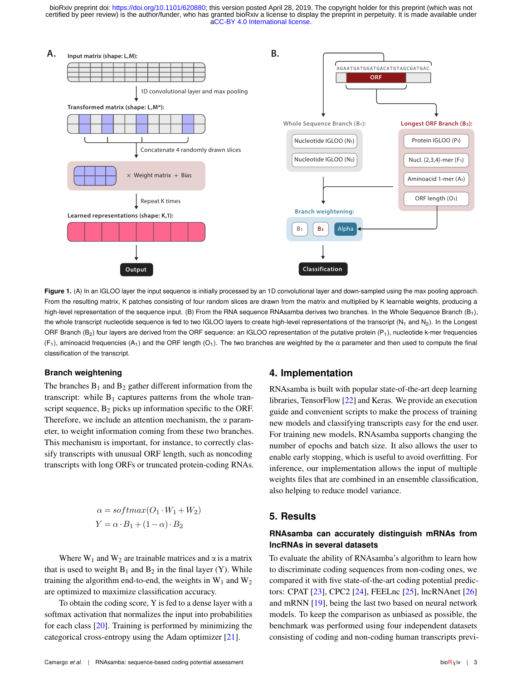

Figure 1. (A) In an IGLOO layer the input sequence is initially processed by an 1D convolutional layer and down-sampled using the max pooling approach. From the resulting matrix, K patches consisting of four random slices are drawn from the matrix and multiplied by K learnable weights, producing a high-level representation of the sequence input. (B) From the RNA sequence RNAsamba derives two branches. In the Whole Sequence Branch (B<sub>1</sub>), the whole transcript nucleotide sequence is fed to two IGLOO layers to create high-level representations of the transcript ( $N_1$  and  $N_2$ ). In the Longest ORF Branch  $(B_2)$  four layers are derived from the ORF sequence: an IGLOO representation of the putative protein  $(P_1)$ , nucleotide k-mer frequencies (F<sub>1</sub>), aminoacid frequencies (A<sub>1</sub>) and the ORF length (O<sub>1</sub>). The two branches are weighted by the  $\alpha$  parameter and then used to compute the final classification of the transcript.

#### **Branch weightening**

The branches  $B_1$  and  $B_2$  gather different information from the transcript: while  $B_1$  captures patterns from the whole transcript sequence,  $B_2$  picks up information specific to the ORF. Therefore, we include an attention mechanism, the  $\alpha$  parameter, to weight information coming from these two branches. This mechanism is important, for instance, to correctly classify transcripts with unusual ORF length, such as noncoding transcripts with long ORFs or truncated protein-coding RNAs.

$$
\alpha = softmax(O_1 \cdot W_1 + W_2)
$$
  
 
$$
Y = \alpha \cdot B_1 + (1 - \alpha) \cdot B_2
$$

Where  $W_1$  and  $W_2$  are trainable matrices and  $\alpha$  is a matrix that is used to weight  $B_1$  and  $B_2$  in the final layer (Y). While training the algorithm end-to-end, the weights in  $W_1$  and  $W_2$ are optimized to maximize classification accuracy.

To obtain the coding score, Y is fed to a dense layer with a softmax activation that normalizes the input into probabilities for each class [\[20\]](#page-7-0). Training is performed by minimizing the categorical cross-entropy using the Adam optimizer [\[21\]](#page-7-0).

# **4. Implementation**

RNAsamba is built with popular state-of-the-art deep learning libraries, TensorFlow [\[22\]](#page-7-0) and Keras. We provide an execution guide and convenient scripts to make the process of training new models and classifying transcripts easy for the end user. For training new models, RNAsamba supports changing the number of epochs and batch size. It also allows the user to enable early stopping, which is useful to avoid overfitting. For inference, our implementation allows the input of multiple weights files that are combined in an ensemble classification, also helping to reduce model variance.

# **5. Results**

# **RNAsamba can accurately distinguish mRNAs from lncRNAs in several datasets**

To evaluate the ability of RNAsamba's algorithm to learn how to discriminate coding sequences from non-coding ones, we compared it with five state-of-the-art coding potential predictors: CPAT [\[23\]](#page-7-0), CPC2 [\[24\]](#page-7-0), FEELnc [\[25\]](#page-7-0), lncRNAnet [\[26\]](#page-7-0) and mRNN [\[19\]](#page-7-0), being the last two based on neural network models. To keep the comparison as unbiased as possible, the benchmark was performed using four independent datasets consisting of coding and non-coding human transcripts previ-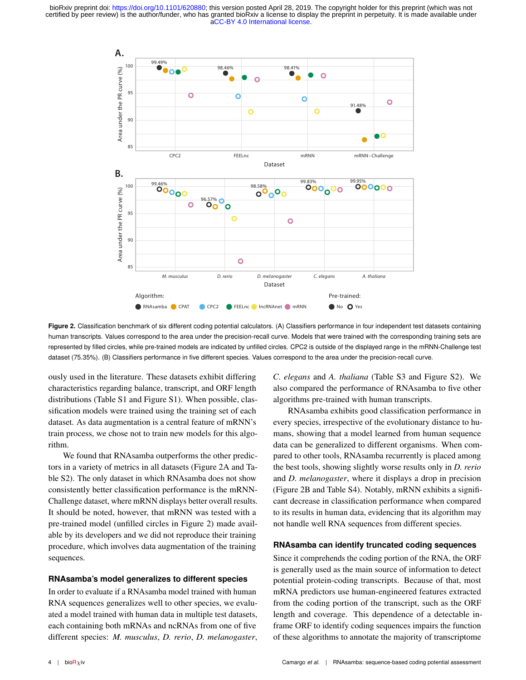

Figure 2. Classification benchmark of six different coding potential calculators. (A) Classifiers performance in four independent test datasets containing human transcripts. Values correspond to the area under the precision-recall curve. Models that were trained with the corresponding training sets are represented by filled circles, while pre-trained models are indicated by unfilled circles. CPC2 is outside of the displayed range in the mRNN-Challenge test dataset (75.35%). (B) Classifiers performance in five different species. Values correspond to the area under the precision-recall curve.

ously used in the literature. These datasets exhibit differing characteristics regarding balance, transcript, and ORF length distributions (Table S1 and Figure S1). When possible, classification models were trained using the training set of each dataset. As data augmentation is a central feature of mRNN's train process, we chose not to train new models for this algorithm.

We found that RNAsamba outperforms the other predictors in a variety of metrics in all datasets (Figure 2A and Table S2). The only dataset in which RNAsamba does not show consistently better classification performance is the mRNN-Challenge dataset, where mRNN displays better overall results. It should be noted, however, that mRNN was tested with a pre-trained model (unfilled circles in Figure 2) made available by its developers and we did not reproduce their training procedure, which involves data augmentation of the training sequences.

#### **RNAsamba's model generalizes to different species**

In order to evaluate if a RNAsamba model trained with human RNA sequences generalizes well to other species, we evaluated a model trained with human data in multiple test datasets, each containing both mRNAs and ncRNAs from one of five different species: *M. musculus*, *D. rerio*, *D. melanogaster*,

*C. elegans* and *A. thaliana* (Table S3 and Figure S2). We also compared the performance of RNAsamba to five other algorithms pre-trained with human transcripts.

RNAsamba exhibits good classification performance in every species, irrespective of the evolutionary distance to humans, showing that a model learned from human sequence data can be generalized to different organisms. When compared to other tools, RNAsamba recurrently is placed among the best tools, showing slightly worse results only in *D. rerio* and *D. melanogaster*, where it displays a drop in precision (Figure 2B and Table S4). Notably, mRNN exhibits a significant decrease in classification performance when compared to its results in human data, evidencing that its algorithm may not handle well RNA sequences from different species.

#### **RNAsamba can identify truncated coding sequences**

Since it comprehends the coding portion of the RNA, the ORF is generally used as the main source of information to detect potential protein-coding transcripts. Because of that, most mRNA predictors use human-engineered features extracted from the coding portion of the transcript, such as the ORF length and coverage. This dependence of a detectable inframe ORF to identify coding sequences impairs the function of these algorithms to annotate the majority of transcriptome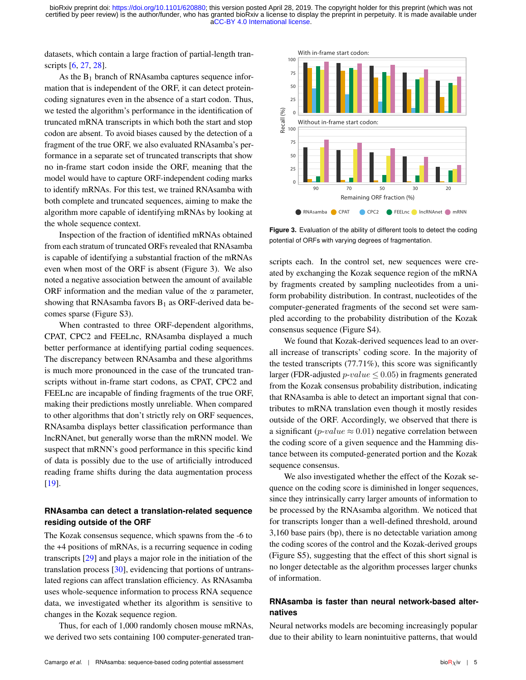datasets, which contain a large fraction of partial-length transcripts [\[6,](#page-7-0) [27,](#page-7-0) [28\]](#page-7-0).

As the  $B_1$  branch of RNAsamba captures sequence information that is independent of the ORF, it can detect proteincoding signatures even in the absence of a start codon. Thus, we tested the algorithm's performance in the identification of truncated mRNA transcripts in which both the start and stop codon are absent. To avoid biases caused by the detection of a fragment of the true ORF, we also evaluated RNAsamba's performance in a separate set of truncated transcripts that show no in-frame start codon inside the ORF, meaning that the model would have to capture ORF-independent coding marks to identify mRNAs. For this test, we trained RNAsamba with both complete and truncated sequences, aiming to make the algorithm more capable of identifying mRNAs by looking at the whole sequence context.

Inspection of the fraction of identified mRNAs obtained from each stratum of truncated ORFs revealed that RNAsamba is capable of identifying a substantial fraction of the mRNAs even when most of the ORF is absent (Figure 3). We also noted a negative association between the amount of available ORF information and the median value of the  $\alpha$  parameter, showing that RNAsamba favors  $B_1$  as ORF-derived data becomes sparse (Figure S3).

When contrasted to three ORF-dependent algorithms, CPAT, CPC2 and FEELnc, RNAsamba displayed a much better performance at identifying partial coding sequences. The discrepancy between RNAsamba and these algorithms is much more pronounced in the case of the truncated transcripts without in-frame start codons, as CPAT, CPC2 and FEELnc are incapable of finding fragments of the true ORF, making their predictions mostly unreliable. When compared to other algorithms that don't strictly rely on ORF sequences, RNAsamba displays better classification performance than lncRNAnet, but generally worse than the mRNN model. We suspect that mRNN's good performance in this specific kind of data is possibly due to the use of artificially introduced reading frame shifts during the data augmentation process [\[19\]](#page-7-0). is olentify mRNAs. For the listensic technical RAA are the state of the state of the state of the state of the state of the state of the state of the state of the formula method are the state of the state of the state o

# **RNAsamba can detect a translation-related sequence residing outside of the ORF**

The Kozak consensus sequence, which spawns from the -6 to the +4 positions of mRNAs, is a recurring sequence in coding transcripts [\[29\]](#page-7-0) and plays a major role in the initiation of the translation process [\[30\]](#page-7-0), evidencing that portions of untranslated regions can affect translation efficiency. As RNAsamba uses whole-sequence information to process RNA sequence data, we investigated whether its algorithm is sensitive to changes in the Kozak sequence region.

Thus, for each of 1,000 randomly chosen mouse mRNAs,



**Figure 3.** Evaluation of the ability of different tools to detect the coding potential of ORFs with varying degrees of fragmentation.

scripts each. In the control set, new sequences were created by exchanging the Kozak sequence region of the mRNA by fragments created by sampling nucleotides from a uniform probability distribution. In contrast, nucleotides of the computer-generated fragments of the second set were sampled according to the probability distribution of the Kozak consensus sequence (Figure S4).

We found that Kozak-derived sequences lead to an overall increase of transcripts' coding score. In the majority of the tested transcripts (77.71%), this score was significantly larger (FDR-adjusted  $p-value \leq 0.05$ ) in fragments generated from the Kozak consensus probability distribution, indicating that RNAsamba is able to detect an important signal that contributes to mRNA translation even though it mostly resides outside of the ORF. Accordingly, we observed that there is a significant ( $p$ -*value*  $\approx$  0.01) negative correlation between the coding score of a given sequence and the Hamming distance between its computed-generated portion and the Kozak sequence consensus.

We also investigated whether the effect of the Kozak sequence on the coding score is diminished in longer sequences, since they intrinsically carry larger amounts of information to be processed by the RNAsamba algorithm. We noticed that for transcripts longer than a well-defined threshold, around 3,160 base pairs (bp), there is no detectable variation among the coding scores of the control and the Kozak-derived groups (Figure S5), suggesting that the effect of this short signal is no longer detectable as the algorithm processes larger chunks of information.

# **RNAsamba is faster than neural network-based alternatives**

Neural networks models are becoming increasingly popular due to their ability to learn nonintuitive patterns, that would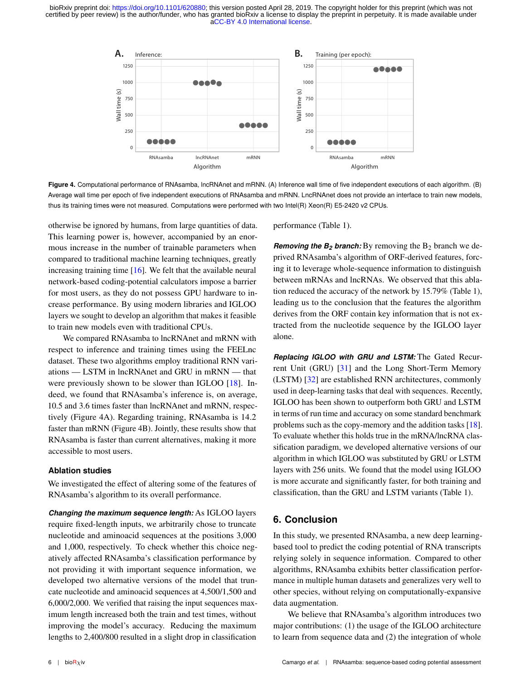

**Figure 4.** Computational performance of RNAsamba, lncRNAnet and mRNN. (A) Inference wall time of five independent executions of each algorithm. (B) Average wall time per epoch of five independent executions of RNAsamba and mRNN. LncRNAnet does not provide an interface to train new models, thus its training times were not measured. Computations were performed with two Intel(R) Xeon(R) E5-2420 v2 CPUs.

otherwise be ignored by humans, from large quantities of data. This learning power is, however, accompanied by an enormous increase in the number of trainable parameters when compared to traditional machine learning techniques, greatly increasing training time [\[16\]](#page-7-0). We felt that the available neural network-based coding-potential calculators impose a barrier for most users, as they do not possess GPU hardware to increase performance. By using modern libraries and IGLOO layers we sought to develop an algorithm that makes it feasible to train new models even with traditional CPUs.

We compared RNAsamba to lncRNAnet and mRNN with respect to inference and training times using the FEELnc dataset. These two algorithms employ traditional RNN variations — LSTM in lncRNAnet and GRU in mRNN — that were previously shown to be slower than IGLOO [\[18\]](#page-7-0). Indeed, we found that RNAsamba's inference is, on average, 10.5 and 3.6 times faster than lncRNAnet and mRNN, respectively (Figure 4A). Regarding training, RNAsamba is 14.2 faster than mRNN (Figure 4B). Jointly, these results show that RNAsamba is faster than current alternatives, making it more accessible to most users.

#### **Ablation studies**

We investigated the effect of altering some of the features of RNAsamba's algorithm to its overall performance.

*Changing the maximum sequence length:* As IGLOO layers require fixed-length inputs, we arbitrarily chose to truncate nucleotide and aminoacid sequences at the positions 3,000 and 1,000, respectively. To check whether this choice negatively affected RNAsamba's classification performance by not providing it with important sequence information, we developed two alternative versions of the model that truncate nucleotide and aminoacid sequences at 4,500/1,500 and 6,000/2,000. We verified that raising the input sequences maximum length increased both the train and test times, without improving the model's accuracy. Reducing the maximum lengths to 2,400/800 resulted in a slight drop in classification

performance (Table 1).

*Removing the*  $B_2$  *<i>branch:* By removing the  $B_2$  *branch we de*prived RNAsamba's algorithm of ORF-derived features, forcing it to leverage whole-sequence information to distinguish between mRNAs and lncRNAs. We observed that this ablation reduced the accuracy of the network by 15.79% (Table 1), leading us to the conclusion that the features the algorithm derives from the ORF contain key information that is not extracted from the nucleotide sequence by the IGLOO layer alone.

*Replacing IGLOO with GRU and LSTM:* The Gated Recurrent Unit (GRU) [\[31\]](#page-7-0) and the Long Short-Term Memory (LSTM) [\[32\]](#page-7-0) are established RNN architectures, commonly used in deep-learning tasks that deal with sequences. Recently, IGLOO has been shown to outperform both GRU and LSTM in terms of run time and accuracy on some standard benchmark problems such as the copy-memory and the addition tasks [\[18\]](#page-7-0). To evaluate whether this holds true in the mRNA/lncRNA classification paradigm, we developed alternative versions of our algorithm in which IGLOO was substituted by GRU or LSTM layers with 256 units. We found that the model using IGLOO is more accurate and significantly faster, for both training and classification, than the GRU and LSTM variants (Table 1).

# **6. Conclusion**

In this study, we presented RNAsamba, a new deep learningbased tool to predict the coding potential of RNA transcripts relying solely in sequence information. Compared to other algorithms, RNAsamba exhibits better classification performance in multiple human datasets and generalizes very well to other species, without relying on computationally-expansive data augmentation.

We believe that RNAsamba's algorithm introduces two major contributions: (1) the usage of the IGLOO architecture to learn from sequence data and (2) the integration of whole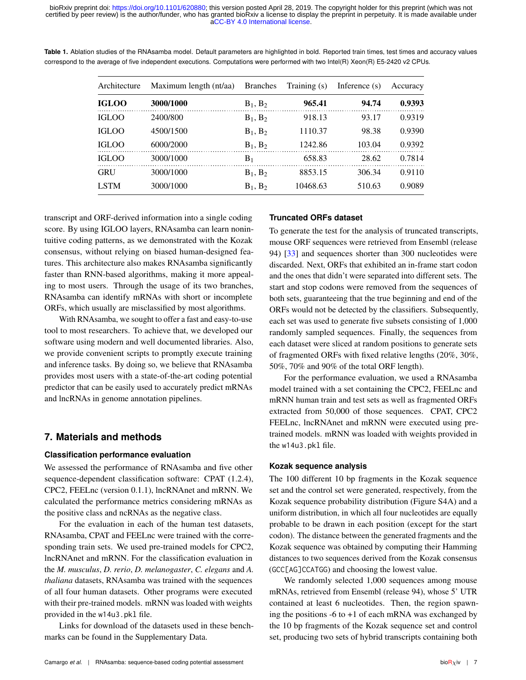| Architecture | Maximum length (nt/aa) | <b>Branches</b> | Training (s) | Inference $(s)$ | Accuracy |
|--------------|------------------------|-----------------|--------------|-----------------|----------|
| <b>IGLOO</b> | 3000/1000              | $B_1, B_2$      | 965.41       | 94.74           | 0.9393   |
| <b>IGLOO</b> | 2400/800               | $B_1, B_2$      | 918.13       | 93.17           | 0.9319   |
| <b>IGLOO</b> | 4500/1500              | $B_1, B_2$      | 1110.37      | 98.38           | 0.9390   |
| <b>IGLOO</b> | 6000/2000              | $B_1, B_2$      | 1242.86      | 103.04          | 0.9392   |
| <b>IGLOO</b> | 3000/1000              | $B_1$           | 658.83       | 28.62           | 0.7814   |
| <b>GRU</b>   | 3000/1000              | $B_1, B_2$      | 8853.15      | 306.34          | 0.9110   |
| <b>LSTM</b>  | 3000/1000              | $B_1, B_2$      | 10468.63     | 510.63          | 0.9089   |

**Table 1.** Ablation studies of the RNAsamba model. Default parameters are highlighted in bold. Reported train times, test times and accuracy values correspond to the average of five independent executions. Computations were performed with two Intel(R) Xeon(R) E5-2420 v2 CPUs.

transcript and ORF-derived information into a single coding score. By using IGLOO layers, RNAsamba can learn nonintuitive coding patterns, as we demonstrated with the Kozak consensus, without relying on biased human-designed features. This architecture also makes RNAsamba significantly faster than RNN-based algorithms, making it more appealing to most users. Through the usage of its two branches, RNAsamba can identify mRNAs with short or incomplete ORFs, which usually are misclassified by most algorithms.

With RNAsamba, we sought to offer a fast and easy-to-use tool to most researchers. To achieve that, we developed our software using modern and well documented libraries. Also, we provide convenient scripts to promptly execute training and inference tasks. By doing so, we believe that RNAsamba provides most users with a state-of-the-art coding potential predictor that can be easily used to accurately predict mRNAs and lncRNAs in genome annotation pipelines.

# **7. Materials and methods**

# **Classification performance evaluation**

We assessed the performance of RNAsamba and five other sequence-dependent classification software: CPAT (1.2.4), CPC2, FEELnc (version 0.1.1), lncRNAnet and mRNN. We calculated the performance metrics considering mRNAs as the positive class and ncRNAs as the negative class.

For the evaluation in each of the human test datasets, RNAsamba, CPAT and FEELnc were trained with the corresponding train sets. We used pre-trained models for CPC2, lncRNAnet and mRNN. For the classification evaluation in the *M. musculus*, *D. rerio*, *D. melanogaster*, *C. elegans* and *A. thaliana* datasets, RNAsamba was trained with the sequences of all four human datasets. Other programs were executed with their pre-trained models. mRNN was loaded with weights provided in the w14u3.pkl file.

Links for download of the datasets used in these benchmarks can be found in the Supplementary Data.

# **Truncated ORFs dataset**

To generate the test for the analysis of truncated transcripts, mouse ORF sequences were retrieved from Ensembl (release 94) [\[33\]](#page-7-0) and sequences shorter than 300 nucleotides were discarded. Next, ORFs that exhibited an in-frame start codon and the ones that didn't were separated into different sets. The start and stop codons were removed from the sequences of both sets, guaranteeing that the true beginning and end of the ORFs would not be detected by the classifiers. Subsequently, each set was used to generate five subsets consisting of 1,000 randomly sampled sequences. Finally, the sequences from each dataset were sliced at random positions to generate sets of fragmented ORFs with fixed relative lengths (20%, 30%, 50%, 70% and 90% of the total ORF length).

For the performance evaluation, we used a RNAsamba model trained with a set containing the CPC2, FEELnc and mRNN human train and test sets as well as fragmented ORFs extracted from 50,000 of those sequences. CPAT, CPC2 FEELnc, lncRNAnet and mRNN were executed using pretrained models. mRNN was loaded with weights provided in the w14u3.pkl file.

# **Kozak sequence analysis**

The 100 different 10 bp fragments in the Kozak sequence set and the control set were generated, respectively, from the Kozak sequence probability distribution (Figure S4A) and a uniform distribution, in which all four nucleotides are equally probable to be drawn in each position (except for the start codon). The distance between the generated fragments and the Kozak sequence was obtained by computing their Hamming distances to two sequences derived from the Kozak consensus (GCC[AG]CCATGG) and choosing the lowest value.

We randomly selected 1,000 sequences among mouse mRNAs, retrieved from Ensembl (release 94), whose 5' UTR contained at least 6 nucleotides. Then, the region spawning the positions  $-6$  to  $+1$  of each mRNA was exchanged by the 10 bp fragments of the Kozak sequence set and control set, producing two sets of hybrid transcripts containing both